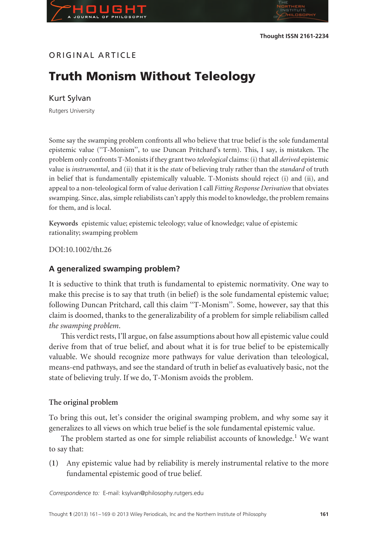# ORIGINAL ARTICLE

# **Truth Monism Without Teleology**

Kurt Sylvan

Rutgers University

Some say the swamping problem confronts all who believe that true belief is the sole fundamental epistemic value (''T-Monism'', to use Duncan Pritchard's term). This, I say, is mistaken. The problem only confronts T-Monists if they grant two *teleological* claims: (i) that all *derived* epistemic value is *instrumental*, and (ii) that it is the *state* of believing truly rather than the *standard* of truth in belief that is fundamentally epistemically valuable. T-Monists should reject (i) and (ii), and appeal to a non-teleological form of value derivation I call *Fitting Response Derivation* that obviates swamping. Since, alas, simple reliabilists can't apply this model to knowledge, the problem remains for them, and is local.

**Keywords** epistemic value; epistemic teleology; value of knowledge; value of epistemic rationality; swamping problem

DOI:10.1002/tht.26

### **A generalized swamping problem?**

It is seductive to think that truth is fundamental to epistemic normativity. One way to make this precise is to say that truth (in belief) is the sole fundamental epistemic value; following Duncan Pritchard, call this claim ''T-Monism''. Some, however, say that this claim is doomed, thanks to the generalizability of a problem for simple reliabilism called *the swamping problem*.

This verdict rests, I'll argue, on false assumptions about how all epistemic value could derive from that of true belief, and about what it is for true belief to be epistemically valuable. We should recognize more pathways for value derivation than teleological, means-end pathways, and see the standard of truth in belief as evaluatively basic, not the state of believing truly. If we do, T-Monism avoids the problem.

#### **The original problem**

To bring this out, let's consider the original swamping problem, and why some say it generalizes to all views on which true belief is the sole fundamental epistemic value.

The problem started as one for simple reliabilist accounts of knowledge.<sup>1</sup> We want to say that:

**(1)** Any epistemic value had by reliability is merely instrumental relative to the more fundamental epistemic good of true belief.

*Correspondence to:* E-mail: ksylvan@philosophy.rutgers.edu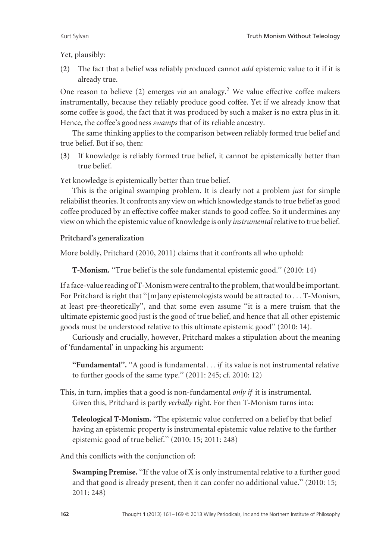Yet, plausibly:

**(2)** The fact that a belief was reliably produced cannot *add* epistemic value to it if it is already true.

One reason to believe (2) emerges *via* an analogy.2 We value effective coffee makers instrumentally, because they reliably produce good coffee. Yet if we already know that some coffee is good, the fact that it was produced by such a maker is no extra plus in it. Hence, the coffee's goodness *swamps* that of its reliable ancestry.

The same thinking applies to the comparison between reliably formed true belief and true belief. But if so, then:

**(3)** If knowledge is reliably formed true belief, it cannot be epistemically better than true belief.

Yet knowledge is epistemically better than true belief.

This is the original swamping problem. It is clearly not a problem *just* for simple reliabilist theories. It confronts any view on which knowledge stands to true belief as good coffee produced by an effective coffee maker stands to good coffee. So it undermines any view on which the epistemic value of knowledge is only *instrumental*relative to true belief.

### **Pritchard's generalization**

More boldly, Pritchard (2010, 2011) claims that it confronts all who uphold:

**T-Monism.** "True belief is the sole fundamental epistemic good." (2010: 14)

If a face-value reading of T-Monism were central to the problem, that would be important. For Pritchard is right that ''[m]any epistemologists would be attracted to *...* T-Monism, at least pre-theoretically'', and that some even assume ''it is a mere truism that the ultimate epistemic good just is the good of true belief, and hence that all other epistemic goods must be understood relative to this ultimate epistemic good'' (2010: 14).

Curiously and crucially, however, Pritchard makes a stipulation about the meaning of 'fundamental' in unpacking his argument:

**''Fundamental''.** ''A good is fundamental *... if* its value is not instrumental relative to further goods of the same type.'' (2011: 245; cf. 2010: 12)

This, in turn, implies that a good is non-fundamental *only if* it is instrumental. Given this, Pritchard is partly *verbally* right. For then T-Monism turns into:

**Teleological T-Monism.** ''The epistemic value conferred on a belief by that belief having an epistemic property is instrumental epistemic value relative to the further epistemic good of true belief.'' (2010: 15; 2011: 248)

## And this conflicts with the conjunction of:

**Swamping Premise.** "If the value of X is only instrumental relative to a further good and that good is already present, then it can confer no additional value.'' (2010: 15; 2011: 248)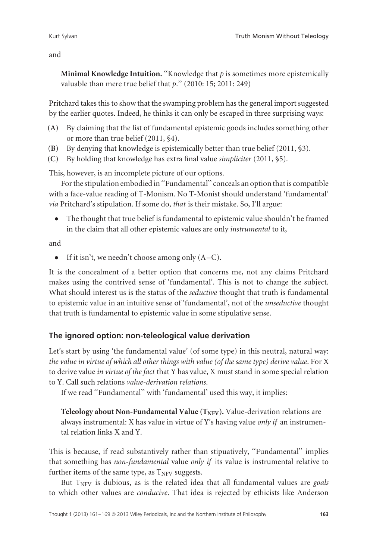and

**Minimal Knowledge Intuition.** ''Knowledge that *p* is sometimes more epistemically valuable than mere true belief that *p*.'' (2010: 15; 2011: 249)

Pritchard takes this to show that the swamping problem has the general import suggested by the earlier quotes. Indeed, he thinks it can only be escaped in three surprising ways:

- **(A)** By claiming that the list of fundamental epistemic goods includes something other or more than true belief (2011, §4).
- **(B)** By denying that knowledge is epistemically better than true belief (2011, §3).
- **(C)** By holding that knowledge has extra final value *simpliciter* (2011, §5).

This, however, is an incomplete picture of our options.

For the stipulation embodied in ''Fundamental'' conceals an option that is compatible with a face-value reading of T-Monism. No T-Monist should understand 'fundamental' *via* Pritchard's stipulation. If some do, *that* is their mistake. So, I'll argue:

• The thought that true belief is fundamental to epistemic value shouldn't be framed in the claim that all other epistemic values are only *instrumental* to it,

and

• If it isn't, we needn't choose among only  $(A-C)$ .

It is the concealment of a better option that concerns me, not any claims Pritchard makes using the contrived sense of 'fundamental'. This is not to change the subject. What should interest us is the status of the *seductive* thought that truth is fundamental to epistemic value in an intuitive sense of 'fundamental', not of the *unseductive* thought that truth is fundamental to epistemic value in some stipulative sense.

# **The ignored option: non-teleological value derivation**

Let's start by using 'the fundamental value' (of some type) in this neutral, natural way: *the value in virtue of which all other things with value (of the same type) derive value*. For X to derive value *in virtue of the fact* that Y has value, X must stand in some special relation to Y. Call such relations *value-derivation relations*.

If we read ''Fundamental'' with 'fundamental' used this way, it implies:

**Teleology about Non-Fundamental Value (TNFV).** Value-derivation relations are always instrumental: X has value in virtue of Y's having value *only if* an instrumental relation links X and Y.

This is because, if read substantively rather than stipuatively, ''Fundamental'' implies that something has *non-fundamental* value *only if* its value is instrumental relative to further items of the same type, as  $T<sub>NFV</sub>$  suggests.

But T<sub>NFV</sub> is dubious, as is the related idea that all fundamental values are *goals* to which other values are *conducive*. That idea is rejected by ethicists like Anderson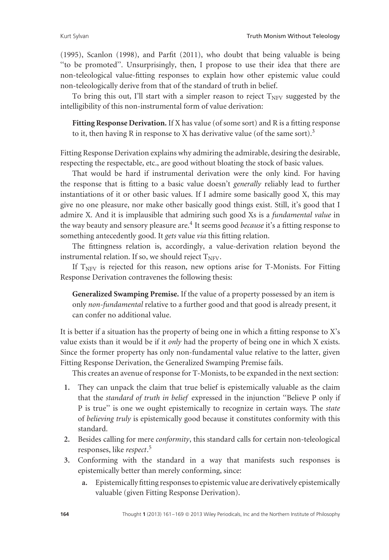(1995), Scanlon (1998), and Parfit (2011), who doubt that being valuable is being ''to be promoted''. Unsurprisingly, then, I propose to use their idea that there are non-teleological value-fitting responses to explain how other epistemic value could non-teleologically derive from that of the standard of truth in belief.

To bring this out, I'll start with a simpler reason to reject  $T<sub>NFV</sub>$  suggested by the intelligibility of this non-instrumental form of value derivation:

**Fitting Response Derivation.** If X has value (of some sort) and R is a fitting response to it, then having R in response to X has derivative value (of the same sort).<sup>3</sup>

Fitting Response Derivation explains why admiring the admirable, desiring the desirable, respecting the respectable, etc., are good without bloating the stock of basic values.

That would be hard if instrumental derivation were the only kind. For having the response that is fitting to a basic value doesn't *generally* reliably lead to further instantiations of it or other basic values. If I admire some basically good X, this may give no one pleasure, nor make other basically good things exist. Still, it's good that I admire X. And it is implausible that admiring such good Xs is a *fundamental value* in the way beauty and sensory pleasure are.<sup>4</sup> It seems good *because* it's a fitting response to something antecedently good. It *gets* value *via* this fitting relation.

The fittingness relation is, accordingly, a value-derivation relation beyond the instrumental relation. If so, we should reject  $T<sub>NFV</sub>$ .

If  $T<sub>NFV</sub>$  is rejected for this reason, new options arise for T-Monists. For Fitting Response Derivation contravenes the following thesis:

**Generalized Swamping Premise.** If the value of a property possessed by an item is only *non-fundamental* relative to a further good and that good is already present, it can confer no additional value.

It is better if a situation has the property of being one in which a fitting response to X's value exists than it would be if it *only* had the property of being one in which X exists. Since the former property has only non-fundamental value relative to the latter, given Fitting Response Derivation, the Generalized Swamping Premise fails.

This creates an avenue of response for T-Monists, to be expanded in the next section:

- **1.** They can unpack the claim that true belief is epistemically valuable as the claim that the *standard of truth in belief* expressed in the injunction ''Believe P only if P is true'' is one we ought epistemically to recognize in certain ways. The *state* of *believing truly* is epistemically good because it constitutes conformity with this standard.
- **2.** Besides calling for mere *conformity*, this standard calls for certain non-teleological responses, like *respect*. 5
- **3.** Conforming with the standard in a way that manifests such responses is epistemically better than merely conforming, since:
	- **a.** Epistemically fitting responses to epistemic value are derivatively epistemically valuable (given Fitting Response Derivation).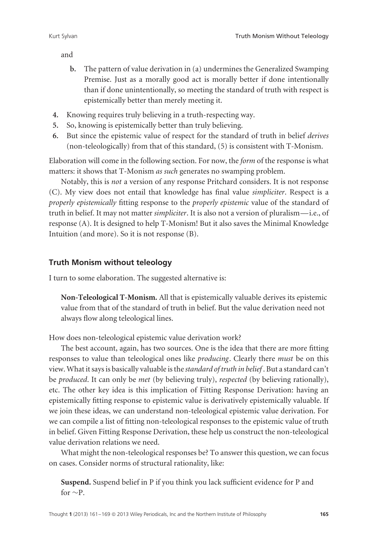and

- **b.** The pattern of value derivation in (a) undermines the Generalized Swamping Premise. Just as a morally good act is morally better if done intentionally than if done unintentionally, so meeting the standard of truth with respect is epistemically better than merely meeting it.
- **4.** Knowing requires truly believing in a truth-respecting way.
- **5.** So, knowing is epistemically better than truly believing.
- **6.** But since the epistemic value of respect for the standard of truth in belief *derives* (non-teleologically) from that of this standard, (5) is consistent with T-Monism.

Elaboration will come in the following section. For now, the *form* of the response is what matters: it shows that T-Monism *as such* generates no swamping problem.

Notably, this is *not* a version of any response Pritchard considers. It is not response (C). My view does not entail that knowledge has final value *simpliciter*. Respect is a *properly epistemically* fitting response to the *properly epistemic* value of the standard of truth in belief. It may not matter *simpliciter*. It is also not a version of pluralism—i.e., of response (A). It is designed to help T-Monism! But it also saves the Minimal Knowledge Intuition (and more). So it is not response (B).

# **Truth Monism without teleology**

I turn to some elaboration. The suggested alternative is:

**Non-Teleological T-Monism.** All that is epistemically valuable derives its epistemic value from that of the standard of truth in belief. But the value derivation need not always flow along teleological lines.

How does non-teleological epistemic value derivation work?

The best account, again, has two sources. One is the idea that there are more fitting responses to value than teleological ones like *producing*. Clearly there *must* be on this view. What it says is basically valuable is the *standard of truth in belief* . But a standard can't be *produced*. It can only be *met* (by believing truly), *respected* (by believing rationally), etc. The other key idea is this implication of Fitting Response Derivation: having an epistemically fitting response to epistemic value is derivatively epistemically valuable. If we join these ideas, we can understand non-teleological epistemic value derivation. For we can compile a list of fitting non-teleological responses to the epistemic value of truth in belief. Given Fitting Response Derivation, these help us construct the non-teleological value derivation relations we need.

What might the non-teleological responses be? To answer this question, we can focus on cases. Consider norms of structural rationality, like:

**Suspend.** Suspend belief in P if you think you lack sufficient evidence for P and for ∼P.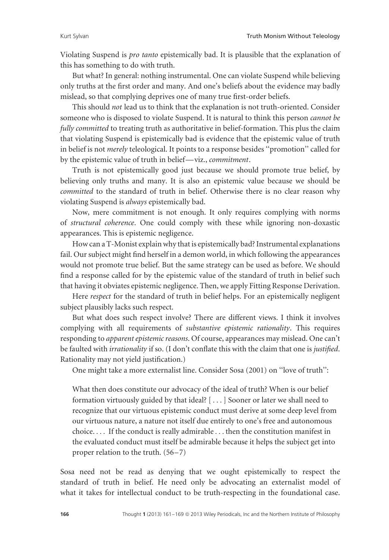Violating Suspend is *pro tanto* epistemically bad. It is plausible that the explanation of this has something to do with truth.

But what? In general: nothing instrumental. One can violate Suspend while believing only truths at the first order and many. And one's beliefs about the evidence may badly mislead, so that complying deprives one of many true first-order beliefs.

This should *not* lead us to think that the explanation is not truth-oriented. Consider someone who is disposed to violate Suspend. It is natural to think this person *cannot be fully committed* to treating truth as authoritative in belief-formation. This plus the claim that violating Suspend is epistemically bad is evidence that the epistemic value of truth in belief is not *merely* teleological. It points to a response besides ''promotion'' called for by the epistemic value of truth in belief—viz., *commitment*.

Truth is not epistemically good just because we should promote true belief, by believing only truths and many. It is also an epistemic value because we should be *committed* to the standard of truth in belief. Otherwise there is no clear reason why violating Suspend is *always* epistemically bad.

Now, mere commitment is not enough. It only requires complying with norms of *structural coherence*. One could comply with these while ignoring non-doxastic appearances. This is epistemic negligence.

How can a T-Monist explain why that is epistemically bad? Instrumental explanations fail. Our subject might find herself in a demon world, in which following the appearances would not promote true belief. But the same strategy can be used as before. We should find a response called for by the epistemic value of the standard of truth in belief such that having it obviates epistemic negligence. Then, we apply Fitting Response Derivation.

Here *respect* for the standard of truth in belief helps. For an epistemically negligent subject plausibly lacks such respect.

But what does such respect involve? There are different views. I think it involves complying with all requirements of *substantive epistemic rationality*. This requires responding to *apparent epistemic reasons*. Of course, appearances may mislead. One can't be faulted with *irrationality* if so. (I don't conflate this with the claim that one is *justified*. Rationality may not yield justification.)

One might take a more externalist line. Consider Sosa (2001) on ''love of truth'':

What then does constitute our advocacy of the ideal of truth? When is our belief formation virtuously guided by that ideal? [*...*] Sooner or later we shall need to recognize that our virtuous epistemic conduct must derive at some deep level from our virtuous nature, a nature not itself due entirely to one's free and autonomous choice. *...* If the conduct is really admirable *...* then the constitution manifest in the evaluated conduct must itself be admirable because it helps the subject get into proper relation to the truth. (56–7)

Sosa need not be read as denying that we ought epistemically to respect the standard of truth in belief. He need only be advocating an externalist model of what it takes for intellectual conduct to be truth-respecting in the foundational case.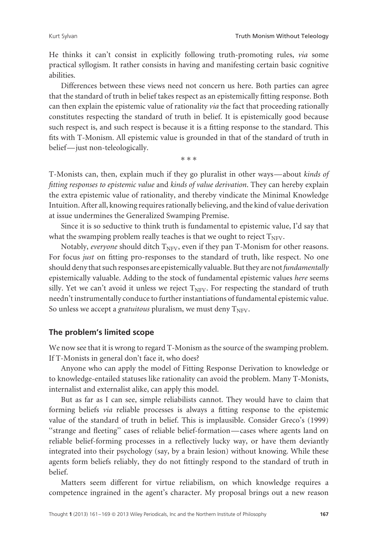He thinks it can't consist in explicitly following truth-promoting rules, *via* some practical syllogism. It rather consists in having and manifesting certain basic cognitive abilities.

Differences between these views need not concern us here. Both parties can agree that the standard of truth in belief takes respect as an epistemically fitting response. Both can then explain the epistemic value of rationality *via* the fact that proceeding rationally constitutes respecting the standard of truth in belief. It is epistemically good because such respect is, and such respect is because it is a fitting response to the standard. This fits with T-Monism. All epistemic value is grounded in that of the standard of truth in belief—just non-teleologically.

∗∗∗

T-Monists can, then, explain much if they go pluralist in other ways—about *kinds of fitting responses to epistemic value* and *kinds of value derivation*. They can hereby explain the extra epistemic value of rationality, and thereby vindicate the Minimal Knowledge Intuition. After all, knowing requires rationally believing, and the kind of value derivation at issue undermines the Generalized Swamping Premise.

Since it is so seductive to think truth is fundamental to epistemic value, I'd say that what the swamping problem really teaches is that we ought to reject  $T<sub>NFV</sub>$ .

Notably, *everyone* should ditch T<sub>NFV</sub>, even if they pan T-Monism for other reasons. For focus *just* on fitting pro-responses to the standard of truth, like respect. No one should deny that such responses are epistemically valuable. But they are not*fundamentally* epistemically valuable. Adding to the stock of fundamental epistemic values *here* seems silly. Yet we can't avoid it unless we reject  $T<sub>NFV</sub>$ . For respecting the standard of truth needn't instrumentally conduce to further instantiations of fundamental epistemic value. So unless we accept a *gratuitous* pluralism, we must deny  $T<sub>NFV</sub>$ .

### **The problem's limited scope**

We now see that it is wrong to regard T-Monism as the source of the swamping problem. If T-Monists in general don't face it, who does?

Anyone who can apply the model of Fitting Response Derivation to knowledge or to knowledge-entailed statuses like rationality can avoid the problem. Many T-Monists, internalist and externalist alike, can apply this model.

But as far as I can see, simple reliabilists cannot. They would have to claim that forming beliefs *via* reliable processes is always a fitting response to the epistemic value of the standard of truth in belief. This is implausible. Consider Greco's (1999) ''strange and fleeting'' cases of reliable belief-formation—cases where agents land on reliable belief-forming processes in a reflectively lucky way, or have them deviantly integrated into their psychology (say, by a brain lesion) without knowing. While these agents form beliefs reliably, they do not fittingly respond to the standard of truth in belief.

Matters seem different for virtue reliabilism, on which knowledge requires a competence ingrained in the agent's character. My proposal brings out a new reason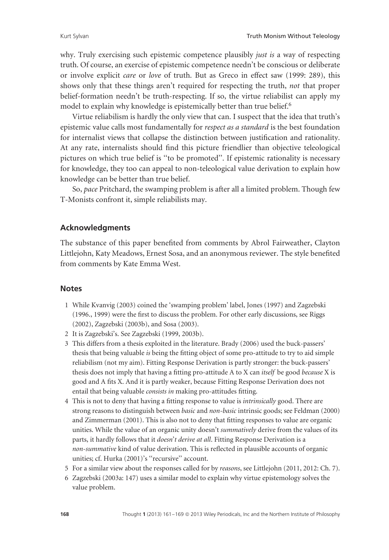why. Truly exercising such epistemic competence plausibly *just is* a way of respecting truth. Of course, an exercise of epistemic competence needn't be conscious or deliberate or involve explicit *care* or *love* of truth. But as Greco in effect saw (1999: 289), this shows only that these things aren't required for respecting the truth, *not* that proper belief-formation needn't be truth-respecting. If so, the virtue reliabilist can apply my model to explain why knowledge is epistemically better than true belief.<sup>6</sup>

Virtue reliabilism is hardly the only view that can. I suspect that the idea that truth's epistemic value calls most fundamentally for *respect as a standard* is the best foundation for internalist views that collapse the distinction between justification and rationality. At any rate, internalists should find this picture friendlier than objective teleological pictures on which true belief is ''to be promoted''. If epistemic rationality is necessary for knowledge, they too can appeal to non-teleological value derivation to explain how knowledge can be better than true belief.

So, *pace* Pritchard, the swamping problem is after all a limited problem. Though few T-Monists confront it, simple reliabilists may.

# **Acknowledgments**

The substance of this paper benefited from comments by Abrol Fairweather, Clayton Littlejohn, Katy Meadows, Ernest Sosa, and an anonymous reviewer. The style benefited from comments by Kate Emma West.

# **Notes**

- 1 While Kvanvig (2003) coined the 'swamping problem' label, Jones (1997) and Zagzebski (1996., 1999) were the first to discuss the problem. For other early discussions, see Riggs (2002), Zagzebski (2003b), and Sosa (2003).
- 2 It is Zagzebski's. See Zagzebski (1999, 2003b).
- 3 This differs from a thesis exploited in the literature. Brady (2006) used the buck-passers' thesis that being valuable *is* being the fitting object of some pro-attitude to try to aid simple reliabilism (not my aim). Fitting Response Derivation is partly stronger: the buck-passers' thesis does not imply that having a fitting pro-attitude A to X can *itself* be good *because* X is good and A fits X. And it is partly weaker, because Fitting Response Derivation does not entail that being valuable *consists in* making pro-attitudes fitting.
- 4 This is not to deny that having a fitting response to value is *intrinsically* good. There are strong reasons to distinguish between *basic* and *non-basic* intrinsic goods; see Feldman (2000) and Zimmerman (2001). This is also not to deny that fitting responses to value are organic unities. While the value of an organic unity doesn't *summatively* derive from the values of its parts, it hardly follows that it *doesn*'*t derive at all*. Fitting Response Derivation is a *non-summative* kind of value derivation. This is reflected in plausible accounts of organic unities; cf. Hurka (2001)'s ''recursive'' account.
- 5 For a similar view about the responses called for by *reasons*, see Littlejohn (2011, 2012: Ch. 7).
- 6 Zagzebski (2003a: 147) uses a similar model to explain why virtue epistemology solves the value problem.